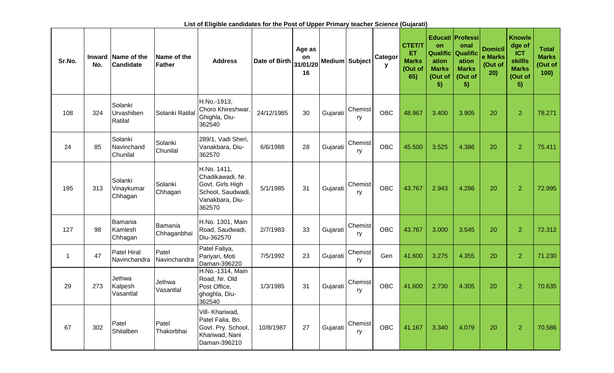| Sr.No.      | <b>Inward</b><br>No. | Name of the<br>Candidate           | Name of the<br><b>Father</b> | <b>Address</b>                                                                                        | Date of Birth | Age as<br>on<br>31/01/20<br>16 | Medium Subject |               | Categor<br>У | <b>CTET/T</b><br>ET<br><b>Marks</b><br>(Out of<br>65) | on<br><b>Qualific</b><br>ation<br><b>Marks</b><br>(Out of<br>5) | Educati Professi<br>onal<br>Qualific<br>ation<br><b>Marks</b><br>(Out of<br>5) | <b>Domicil</b><br>e Marks<br>(Out of<br>20) | <b>Knowle</b><br>dge of<br><b>ICT</b><br><b>skillls</b><br><b>Marks</b><br>(Out of<br>5) | <b>Total</b><br><b>Marks</b><br>(Out of<br>100) |
|-------------|----------------------|------------------------------------|------------------------------|-------------------------------------------------------------------------------------------------------|---------------|--------------------------------|----------------|---------------|--------------|-------------------------------------------------------|-----------------------------------------------------------------|--------------------------------------------------------------------------------|---------------------------------------------|------------------------------------------------------------------------------------------|-------------------------------------------------|
| 108         | 324                  | Solanki<br>Urvashiben<br>Ratilal   | Solanki Ratilal              | H.No.-1913,<br>Choro Khireshwar,<br>Ghighla, Diu-<br>362540                                           | 24/12/1985    | 30                             | Gujarati       | Chemist<br>ry | <b>OBC</b>   | 48.967                                                | 3.400                                                           | 3.905                                                                          | 20                                          | $\overline{2}$                                                                           | 78.271                                          |
| 24          | 85                   | Solanki<br>Navinchand<br>Chunilal  | Solanki<br>Chunilal          | 289/1, Vadi Sheri,<br>Vanakbara, Diu-<br>362570                                                       | 6/6/1988      | 28                             | Gujarati       | Chemist<br>ry | <b>OBC</b>   | 45.500                                                | 3.525                                                           | 4.386                                                                          | 20                                          | $\overline{2}$                                                                           | 75.411                                          |
| 195         | 313                  | Solanki<br>Vinaykumar<br>Chhagan   | Solanki<br>Chhagan           | H.No. 1411,<br>Chadikawadi, Nr.<br>Govt. Girls High<br>School, Saudwadi,<br>Vanakbara, Diu-<br>362570 | 5/1/1985      | 31                             | Gujarati       | Chemist<br>ry | <b>OBC</b>   | 43.767                                                | 2.943                                                           | 4.286                                                                          | 20                                          | $\overline{2}$                                                                           | 72.995                                          |
| 127         | 98                   | Bamania<br>Kamlesh<br>Chhagan      | Bamania<br>Chhaganbhai       | H.No. 1301, Main<br>Road, Saudwadi,<br>Diu-362570                                                     | 2/7/1983      | 33                             | Gujarati       | Chemist<br>ry | <b>OBC</b>   | 43.767                                                | 3.000                                                           | 3.545                                                                          | 20                                          | $\overline{2}$                                                                           | 72.312                                          |
| $\mathbf 1$ | 47                   | <b>Patel Hiral</b><br>Navinchandra | Patel<br>Navinchandra        | Patel Faliya,<br>Pariyari, Moti<br>Daman-396220                                                       | 7/5/1992      | 23                             | Gujarati       | Chemist<br>ry | Gen          | 41.600                                                | 3.275                                                           | 4.355                                                                          | 20                                          | $\overline{2}$                                                                           | 71.230                                          |
| 29          | 273                  | Jethwa<br>Kalpesh<br>Vasantlal     | Jethwa<br>Vasantlal          | H.No.-1314, Main<br>Road, Nr. Old<br>Post Office,<br>ghoghla, Diu-<br>362540                          | 1/3/1985      | 31                             | Gujarati       | Chemist<br>ry | <b>OBC</b>   | 41.600                                                | 2.730                                                           | 4.305                                                                          | 20                                          | $\overline{2}$                                                                           | 70.635                                          |
| 67          | 302                  | Patel<br>Shitalben                 | Patel<br>Thakorbhai          | Vill- Khariwad,<br>Patel Falia, Bn.<br>Govt. Pry. School,<br>Khariwad, Nani<br>Daman-396210           | 10/8/1987     | 27                             | Gujarati       | Chemist<br>ry | <b>OBC</b>   | 41.167                                                | 3.340                                                           | 4.079                                                                          | 20                                          | $\overline{2}$                                                                           | 70.586                                          |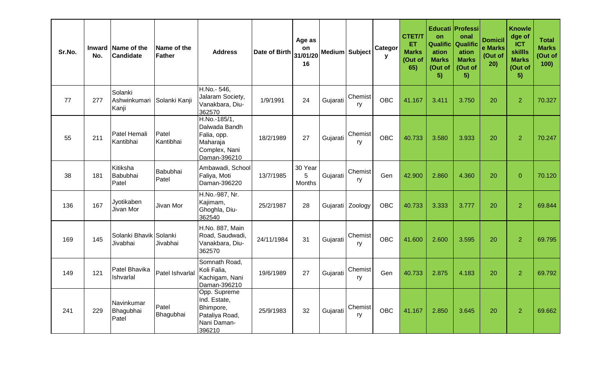| Sr.No. | No. | Inward Name of the<br><b>Candidate</b> | Name of the<br>Father | <b>Address</b>                                                                            | Date of Birth | Age as<br>on<br>31/01/20<br>16 | Medium Subject |                  | Categor<br>y | <b>CTET/T</b><br>ET.<br><b>Marks</b><br>(Out of<br>65) | <b>on</b><br><b>Qualific</b><br>ation<br><b>Marks</b><br>(Out of<br>5) | Educati Professi<br>onal<br><b>Qualific</b><br>ation<br><b>Marks</b><br>(Out of<br>5) | <b>Domicil</b><br>e Marks<br>(Out of<br>20) | <b>Knowle</b><br>dge of<br><b>ICT</b><br><b>skillls</b><br><b>Marks</b><br>(Out of<br>5) | <b>Total</b><br><b>Marks</b><br>(Out of<br>100) |
|--------|-----|----------------------------------------|-----------------------|-------------------------------------------------------------------------------------------|---------------|--------------------------------|----------------|------------------|--------------|--------------------------------------------------------|------------------------------------------------------------------------|---------------------------------------------------------------------------------------|---------------------------------------------|------------------------------------------------------------------------------------------|-------------------------------------------------|
| 77     | 277 | Solanki<br>Ashwinkumari<br>Kanji       | Solanki Kanji         | H.No.- 546,<br>Jalaram Society,<br>Vanakbara, Diu-<br>362570                              | 1/9/1991      | 24                             | Gujarati       | Chemist<br>ry    | <b>OBC</b>   | 41.167                                                 | 3.411                                                                  | 3.750                                                                                 | 20                                          | $\overline{2}$                                                                           | 70.327                                          |
| 55     | 211 | Patel Hemali<br>Kantibhai              | Patel<br>Kantibhai    | H.No.-185/1,<br>Dalwada Bandh<br>Falia, opp.<br>Maharaja<br>Complex, Nani<br>Daman-396210 | 18/2/1989     | 27                             | Gujarati       | Chemist<br>ry    | <b>OBC</b>   | 40.733                                                 | 3.580                                                                  | 3.933                                                                                 | 20                                          | $\overline{2}$                                                                           | 70.247                                          |
| 38     | 181 | Kitiksha<br>Babubhai<br>Patel          | Babubhai<br>Patel     | Ambawadi, School<br>Faliya, Moti<br>Daman-396220                                          | 13/7/1985     | 30 Year<br>5<br><b>Months</b>  | Gujarati       | Chemist<br>ry    | Gen          | 42.900                                                 | 2.860                                                                  | 4.360                                                                                 | 20                                          | $\overline{0}$                                                                           | 70.120                                          |
| 136    | 167 | Jyotikaben<br>Jivan Mor                | Jivan Mor             | H.No.-987, Nr.<br>Kajimam,<br>Ghoghla, Diu-<br>362540                                     | 25/2/1987     | 28                             |                | Gujarati Zoology | <b>OBC</b>   | 40.733                                                 | 3.333                                                                  | 3.777                                                                                 | 20                                          | $\overline{2}$                                                                           | 69.844                                          |
| 169    | 145 | Solanki Bhavik Solanki<br>Jivabhai     | Jivabhai              | H.No. 887, Main<br>Road, Saudwadi,<br>Vanakbara, Diu-<br>362570                           | 24/11/1984    | 31                             | Gujarati       | Chemist<br>ry    | <b>OBC</b>   | 41.600                                                 | 2.600                                                                  | 3.595                                                                                 | 20                                          | $\overline{2}$                                                                           | 69.795                                          |
| 149    | 121 | Patel Bhavika<br>Ishvarlal             | Patel Ishvarlal       | Somnath Road,<br>Koli Falia,<br>Kachigam, Nani<br>Daman-396210                            | 19/6/1989     | 27                             | Gujarati       | Chemist<br>ry    | Gen          | 40.733                                                 | 2.875                                                                  | 4.183                                                                                 | 20                                          | $\overline{2}$                                                                           | 69.792                                          |
| 241    | 229 | Navinkumar<br>Bhagubhai<br>Patel       | Patel<br>Bhagubhai    | Opp. Supreme<br>Ind. Estate,<br>Bhimpore,<br>Pataliya Road,<br>Nani Daman-<br>396210      | 25/9/1983     | 32                             | Gujarati       | Chemist<br>ry    | <b>OBC</b>   | 41.167                                                 | 2.850                                                                  | 3.645                                                                                 | 20                                          | $\overline{2}$                                                                           | 69.662                                          |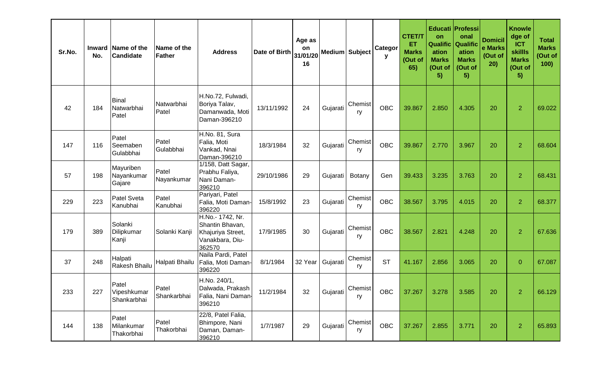| Sr.No. | Inward<br>No. | Name of the<br><b>Candidate</b>     | Name of the<br><b>Father</b> | <b>Address</b>                                                                        | Date of Birth | Age as<br>on<br>31/01/20<br>16 | Medium Subject |                                                  | Categor<br>y | <b>CTET/T</b><br><b>ET</b><br><b>Marks</b><br>(Out of<br>65) | <b>on</b><br><b>Qualific</b><br>ation<br><b>Marks</b><br>(Out of<br>5) | Educati Professi<br>onal<br><b>Qualific</b><br>ation<br><b>Marks</b><br>(Out of<br>5) | <b>Domicil</b><br>e Marks<br>(Out of<br>20) | <b>Knowle</b><br>dge of<br><b>ICT</b><br><b>skillls</b><br><b>Marks</b><br>(Out of<br>5) | <b>Total</b><br><b>Marks</b><br>(Out of<br>100) |
|--------|---------------|-------------------------------------|------------------------------|---------------------------------------------------------------------------------------|---------------|--------------------------------|----------------|--------------------------------------------------|--------------|--------------------------------------------------------------|------------------------------------------------------------------------|---------------------------------------------------------------------------------------|---------------------------------------------|------------------------------------------------------------------------------------------|-------------------------------------------------|
| 42     | 184           | <b>Binal</b><br>Natwarbhai<br>Patel | Natwarbhai<br>Patel          | H.No.72, Fulwadi,<br>Boriya Talav,<br>Damanwada, Moti<br>Daman-396210                 | 13/11/1992    | 24                             | Gujarati       | Chemist<br>ry                                    | <b>OBC</b>   | 39.867                                                       | 2.850                                                                  | 4.305                                                                                 | 20                                          | $\overline{2}$                                                                           | 69.022                                          |
| 147    | 116           | Patel<br>Seemaben<br>Gulabbhai      | Patel<br>Gulabbhai           | H.No. 81, Sura<br>Falia, Moti<br>Vankad, Nnai<br>Daman-396210                         | 18/3/1984     | 32                             | Gujarati       | Chemist<br>ry                                    | <b>OBC</b>   | 39.867                                                       | 2.770                                                                  | 3.967                                                                                 | 20                                          | $\overline{2}$                                                                           | 68.604                                          |
| 57     | 198           | Mayuriben<br>Nayankumar<br>Gajare   | Patel<br>Nayankumar          | 1/158, Datt Sagar,<br>Prabhu Faliya,<br>Nani Daman-<br>396210                         | 29/10/1986    | 29                             | Gujarati       | Botany                                           | Gen          | 39.433                                                       | 3.235                                                                  | 3.763                                                                                 | 20                                          | $\overline{2}$                                                                           | 68.431                                          |
| 229    | 223           | <b>Patel Sveta</b><br>Kanubhai      | Patel<br>Kanubhai            | Pariyari, Patel<br>Falia, Moti Daman-<br>396220                                       | 15/8/1992     | 23                             | Gujarati       | Chemist<br>ry                                    | <b>OBC</b>   | 38.567                                                       | 3.795                                                                  | 4.015                                                                                 | 20                                          | $\overline{2}$                                                                           | 68.377                                          |
| 179    | 389           | Solanki<br>Dilipkumar<br>Kanji      | Solanki Kanji                | H.No.- 1742, Nr.<br>Shantin Bhavan,<br>Khajuriya Street,<br>Vanakbara, Diu-<br>362570 | 17/9/1985     | 30                             | Gujarati       | Chemist<br>ry                                    | <b>OBC</b>   | 38.567                                                       | 2.821                                                                  | 4.248                                                                                 | 20                                          | $\overline{2}$                                                                           | 67.636                                          |
| 37     | 248           | Halpati<br>Rakesh Bhailu            | Halpati Bhailu               | Naila Pardi, Patel<br>Falia, Moti Daman-<br>396220                                    | 8/1/1984      | 32 Year                        | Gujarati       | Chemist<br>ry                                    | <b>ST</b>    | 41.167                                                       | 2.856                                                                  | 3.065                                                                                 | 20                                          | $\overline{0}$                                                                           | 67.087                                          |
| 233    | 227           | Patel<br>Vipeshkumar<br>Shankarbhai | Patel<br>Shankarbhai         | H.No. 240/1,<br>Dalwada, Prakash<br>Falia, Nani Daman-<br>396210                      | 11/2/1984     | 32                             |                | <sup>I</sup> Gujarati Chemist <sub>I</sub><br>ry | OBC          | 37.267                                                       | 3.278                                                                  | 3.585                                                                                 | 20                                          | $\overline{2}$                                                                           | 66.129                                          |
| 144    | 138           | Patel<br>Milankumar<br>Thakorbhai   | Patel<br>Thakorbhai          | 22/8, Patel Falia,<br>Bhimpore, Nani<br>Daman, Daman-<br>396210                       | 1/7/1987      | 29                             | Gujarati       | Chemist<br>ry                                    | OBC          | 37.267                                                       | 2.855                                                                  | 3.771                                                                                 | 20                                          | $\overline{2}$                                                                           | 65.893                                          |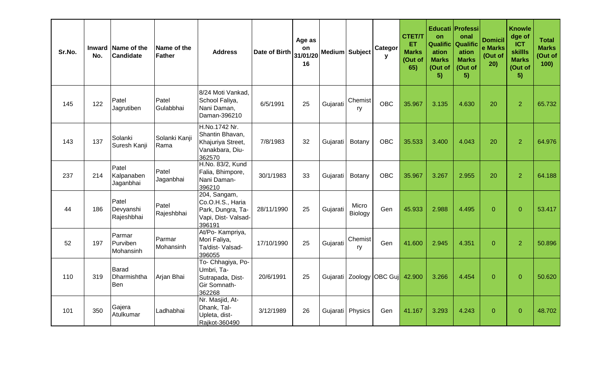| Sr.No. | No. | Inward Name of the<br><b>Candidate</b> | Name of the<br>Father | <b>Address</b>                                                                         | Date of Birth | Age as<br><b>on</b><br>31/01/20<br>16 | Medium Subject |                         | Categor<br>y                        | <b>CTET/T</b><br><b>ET</b><br><b>Marks</b><br>(Out of<br>65) | on<br><b>Qualific</b><br>ation<br><b>Marks</b><br>(Out of<br>5) | Educati Professi<br>onal<br><b>Qualific</b><br>ation<br><b>Marks</b><br>(Out of<br>5) | <b>Domicil</b><br>e Marks<br>(Out of<br>20) | <b>Knowle</b><br>dge of<br><b>ICT</b><br><b>skillls</b><br><b>Marks</b><br>(Out of<br>5) | <b>Total</b><br><b>Marks</b><br>Out of<br>100 |
|--------|-----|----------------------------------------|-----------------------|----------------------------------------------------------------------------------------|---------------|---------------------------------------|----------------|-------------------------|-------------------------------------|--------------------------------------------------------------|-----------------------------------------------------------------|---------------------------------------------------------------------------------------|---------------------------------------------|------------------------------------------------------------------------------------------|-----------------------------------------------|
| 145    | 122 | Patel<br>Jagrutiben                    | Patel<br>Gulabbhai    | 8/24 Moti Vankad,<br>School Faliya,<br>Nani Daman,<br>Daman-396210                     | 6/5/1991      | 25                                    | Gujarati       | Chemist<br>ry           | <b>OBC</b>                          | 35.967                                                       | 3.135                                                           | 4.630                                                                                 | 20                                          | $\overline{2}$                                                                           | 65.732                                        |
| 143    | 137 | Solanki<br>Suresh Kanji                | Solanki Kanji<br>Rama | H.No.1742 Nr.<br>Shantin Bhavan,<br>Khajuriya Street,<br>Vanakbara, Diu-<br>362570     | 7/8/1983      | 32                                    | Gujarati       | Botany                  | <b>OBC</b>                          | 35.533                                                       | 3.400                                                           | 4.043                                                                                 | 20                                          | $\overline{2}$                                                                           | 64.976                                        |
| 237    | 214 | Patel<br>Kalpanaben<br>Jaganbhai       | Patel<br>Jaganbhai    | H.No. 83/2, Kund<br>Falia, Bhimpore,<br>Nani Daman-<br>396210                          | 30/1/1983     | 33                                    | Gujarati       | Botany                  | <b>OBC</b>                          | 35.967                                                       | 3.267                                                           | 2.955                                                                                 | 20                                          | $\overline{2}$                                                                           | 64.188                                        |
| 44     | 186 | Patel<br>Devyanshi<br>Rajeshbhai       | Patel<br>Rajeshbhai   | 204, Sangam,<br>Co.O.H.S., Haria<br>Park, Dungra, Ta-<br>Vapi, Dist- Valsad-<br>396191 | 28/11/1990    | 25                                    | Gujarati       | Micro<br><b>Biology</b> | Gen                                 | 45.933                                                       | 2.988                                                           | 4.495                                                                                 | $\overline{0}$                              | $\overline{0}$                                                                           | 53.417                                        |
| 52     | 197 | Parmar<br>Purviben<br>Mohansinh        | Parmar<br>Mohansinh   | At/Po- Kampriya,<br>Mori Faliya,<br>Ta/dist- Valsad-<br>396055                         | 17/10/1990    | 25                                    | Gujarati       | Chemist<br>ry           | Gen                                 | 41.600                                                       | 2.945                                                           | 4.351                                                                                 | $\overline{0}$                              | $\overline{2}$                                                                           | 50.896                                        |
| 110    | 319 | <b>Barad</b><br>Dharmishtha<br>Ben     | Arjan Bhai            | To- Chhagiya, Po-<br>Umbri, Ta-<br>Sutrapada, Dist-<br>Gir Somnath-<br>362268          | 20/6/1991     | 25                                    |                |                         | Gujarati   Zoology   OBC Guj 42.900 |                                                              | 3.266                                                           | 4.454                                                                                 | $\overline{0}$                              | $\overline{0}$                                                                           | 50.620                                        |
| 101    | 350 | Gajera<br>Atulkumar                    | Ladhabhai             | Nr. Masjid, At-<br>Dhank, Tal-<br>Upleta, dist-<br>Rajkot-360490                       | 3/12/1989     | 26                                    |                | Gujarati Physics        | Gen                                 | 41.167                                                       | 3.293                                                           | 4.243                                                                                 | $\overline{0}$                              | $\overline{0}$                                                                           | 48.702                                        |